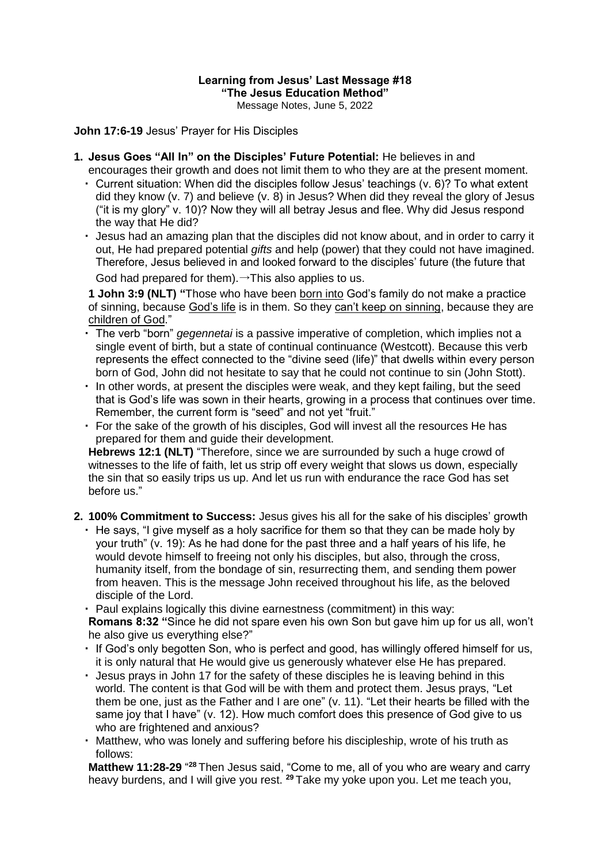## **Learning from Jesus' Last Message #18 "The Jesus Education Method"**

Message Notes, June 5, 2022

**John 17:6-19** Jesus' Prayer for His Disciples

- **1. Jesus Goes "All In" on the Disciples' Future Potential:** He believes in and encourages their growth and does not limit them to who they are at the present moment.
	- ・ Current situation: When did the disciples follow Jesus' teachings (v. 6)? To what extent did they know (v. 7) and believe (v. 8) in Jesus? When did they reveal the glory of Jesus ("it is my glory" v. 10)? Now they will all betray Jesus and flee. Why did Jesus respond the way that He did?
	- ・ Jesus had an amazing plan that the disciples did not know about, and in order to carry it out, He had prepared potential *gifts* and help (power) that they could not have imagined. Therefore, Jesus believed in and looked forward to the disciples' future (the future that

God had prepared for them). $\rightarrow$ This also applies to us.

**1 John 3:9 (NLT) "**Those who have been born into God's family do not make a practice of sinning, because God's life is in them. So they can't keep on sinning, because they are children of God."

- ・ The verb "born" *gegennetai* is a passive imperative of completion, which implies not a single event of birth, but a state of continual continuance (Westcott). Because this verb represents the effect connected to the "divine seed (life)" that dwells within every person born of God, John did not hesitate to say that he could not continue to sin (John Stott).
- ・ In other words, at present the disciples were weak, and they kept failing, but the seed that is God's life was sown in their hearts, growing in a process that continues over time. Remember, the current form is "seed" and not yet "fruit."
- ・ For the sake of the growth of his disciples, God will invest all the resources He has prepared for them and guide their development.

**Hebrews 12:1 (NLT)** "Therefore, since we are surrounded by such a huge crowd of witnesses to the life of faith, let us strip off every weight that slows us down, especially the sin that so easily trips us up. And let us run with endurance the race God has set before us."

- **2. 100% Commitment to Success:** Jesus gives his all for the sake of his disciples' growth
	- ・ He says, "I give myself as a holy sacrifice for them so that they can be made holy by your truth" (v. 19): As he had done for the past three and a half years of his life, he would devote himself to freeing not only his disciples, but also, through the cross, humanity itself, from the bondage of sin, resurrecting them, and sending them power from heaven. This is the message John received throughout his life, as the beloved disciple of the Lord.

・ Paul explains logically this divine earnestness (commitment) in this way: **Romans 8:32 "**Since he did not spare even his own Son but gave him up for us all, won't he also give us everything else?"

- ・ If God's only begotten Son, who is perfect and good, has willingly offered himself for us, it is only natural that He would give us generously whatever else He has prepared.
- ・ Jesus prays in John 17 for the safety of these disciples he is leaving behind in this world. The content is that God will be with them and protect them. Jesus prays, "Let them be one, just as the Father and I are one" (v. 11). "Let their hearts be filled with the same joy that I have" (v. 12). How much comfort does this presence of God give to us who are frightened and anxious?
- ・ Matthew, who was lonely and suffering before his discipleship, wrote of his truth as follows:

**Matthew 11:28-29** "<sup>28</sup> Then Jesus said, "Come to me, all of you who are weary and carry heavy burdens, and I will give you rest. **<sup>29</sup>** Take my yoke upon you. Let me teach you,